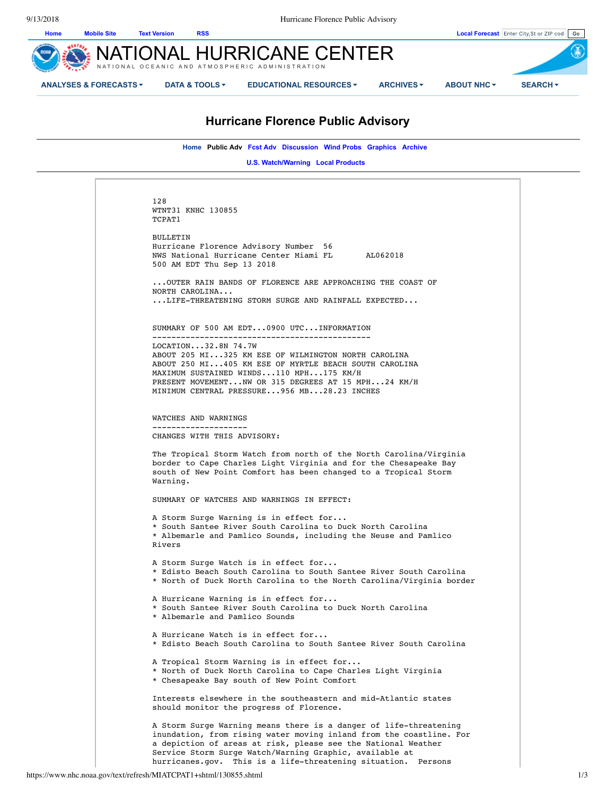

# **Hurricane Florence Public Advisory**

**Home Public Adv Fcst Adv Discussion Wind Probs Graphics Archive** 

**U.S. Watch/Warning Local Products** 

128 WTNT31 KNHC 130855 TCPAT1 BULLETIN Hurricane Florence Advisory Number 56 NWS National Hurricane Center Miami FL AL062018 500 AM EDT Thu Sep 13 2018 ...OUTER RAIN BANDS OF FLORENCE ARE APPROACHING THE COAST OF NORTH CAROLINA... ...LIFE-THREATENING STORM SURGE AND RAINFALL EXPECTED... SUMMARY OF 500 AM EDT...0900 UTC...INFORMATION ---------------------------------------------- LOCATION...32.8N 74.7W ABOUT 205 MI...325 KM ESE OF WILMINGTON NORTH CAROLINA ABOUT 250 MI...405 KM ESE OF MYRTLE BEACH SOUTH CAROLINA MAXIMUM SUSTAINED WINDS...110 MPH...175 KM/H PRESENT MOVEMENT...NW OR 315 DEGREES AT 15 MPH...24 KM/H MINIMUM CENTRAL PRESSURE...956 MB...28.23 INCHES WATCHES AND WARNINGS -------------------- CHANGES WITH THIS ADVISORY: The Tropical Storm Watch from north of the North Carolina/Virginia border to Cape Charles Light Virginia and for the Chesapeake Bay south of New Point Comfort has been changed to a Tropical Storm Warning. SUMMARY OF WATCHES AND WARNINGS IN EFFECT: A Storm Surge Warning is in effect for... \* South Santee River South Carolina to Duck North Carolina \* Albemarle and Pamlico Sounds, including the Neuse and Pamlico Rivers A Storm Surge Watch is in effect for... \* Edisto Beach South Carolina to South Santee River South Carolina \* North of Duck North Carolina to the North Carolina/Virginia border A Hurricane Warning is in effect for... \* South Santee River South Carolina to Duck North Carolina \* Albemarle and Pamlico Sounds A Hurricane Watch is in effect for... \* Edisto Beach South Carolina to South Santee River South Carolina A Tropical Storm Warning is in effect for... \* North of Duck North Carolina to Cape Charles Light Virginia \* Chesapeake Bay south of New Point Comfort Interests elsewhere in the southeastern and mid-Atlantic states should monitor the progress of Florence. A Storm Surge Warning means there is a danger of life-threatening inundation, from rising water moving inland from the coastline. For a depiction of areas at risk, please see the National Weather Service Storm Surge Watch/Warning Graphic, available at hurricanes.gov. This is a life-threatening situation. Persons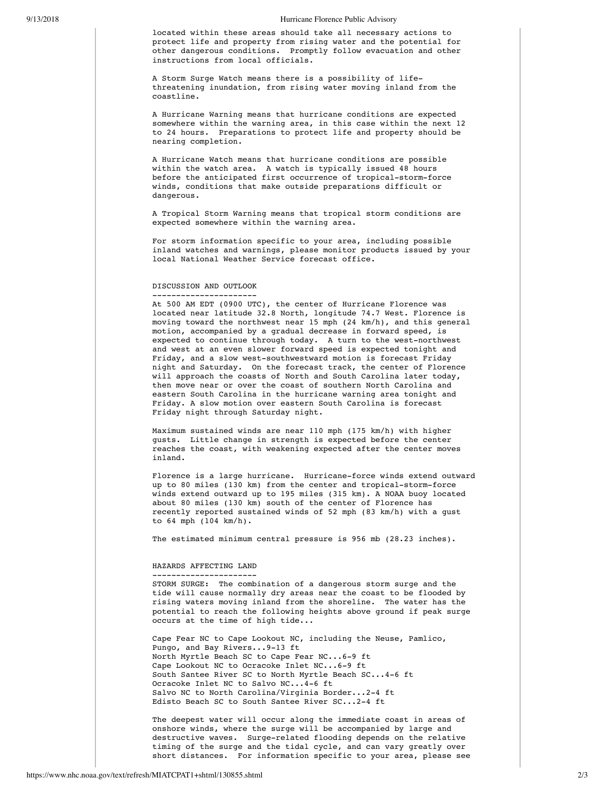### 9/13/2018 Hurricane Florence Public Advisory

located within these areas should take all necessary actions to protect life and property from rising water and the potential for other dangerous conditions. Promptly follow evacuation and other instructions from local officials.

A Storm Surge Watch means there is a possibility of lifethreatening inundation, from rising water moving inland from the coastline.

A Hurricane Warning means that hurricane conditions are expected somewhere within the warning area, in this case within the next 12 to 24 hours. Preparations to protect life and property should be nearing completion.

A Hurricane Watch means that hurricane conditions are possible within the watch area. A watch is typically issued 48 hours before the anticipated first occurrence of tropical-storm-force winds, conditions that make outside preparations difficult or dangerous.

A Tropical Storm Warning means that tropical storm conditions are expected somewhere within the warning area.

For storm information specific to your area, including possible inland watches and warnings, please monitor products issued by your local National Weather Service forecast office.

## DISCUSSION AND OUTLOOK

---------------------- At 500 AM EDT (0900 UTC), the center of Hurricane Florence was located near latitude 32.8 North, longitude 74.7 West. Florence is moving toward the northwest near 15 mph (24 km/h), and this general motion, accompanied by a gradual decrease in forward speed, is expected to continue through today. A turn to the west-northwest and west at an even slower forward speed is expected tonight and Friday, and a slow west-southwestward motion is forecast Friday night and Saturday. On the forecast track, the center of Florence will approach the coasts of North and South Carolina later today, then move near or over the coast of southern North Carolina and eastern South Carolina in the hurricane warning area tonight and Friday. A slow motion over eastern South Carolina is forecast Friday night through Saturday night.

Maximum sustained winds are near 110 mph (175 km/h) with higher gusts. Little change in strength is expected before the center reaches the coast, with weakening expected after the center moves inland.

Florence is a large hurricane. Hurricane-force winds extend outward up to 80 miles (130 km) from the center and tropical-storm-force winds extend outward up to 195 miles (315 km). A NOAA buoy located about 80 miles (130 km) south of the center of Florence has recently reported sustained winds of 52 mph (83 km/h) with a gust to 64 mph (104 km/h).

The estimated minimum central pressure is 956 mb (28.23 inches).

### HAZARDS AFFECTING LAND

---------------------- STORM SURGE: The combination of a dangerous storm surge and the tide will cause normally dry areas near the coast to be flooded by rising waters moving inland from the shoreline. The water has the potential to reach the following heights above ground if peak surge occurs at the time of high tide...

Cape Fear NC to Cape Lookout NC, including the Neuse, Pamlico, Pungo, and Bay Rivers...9-13 ft North Myrtle Beach SC to Cape Fear NC...6-9 ft Cape Lookout NC to Ocracoke Inlet NC...6-9 ft South Santee River SC to North Myrtle Beach SC...4-6 ft Ocracoke Inlet NC to Salvo NC...4-6 ft Salvo NC to North Carolina/Virginia Border...2-4 ft Edisto Beach SC to South Santee River SC...2-4 ft

The deepest water will occur along the immediate coast in areas of onshore winds, where the surge will be accompanied by large and destructive waves. Surge-related flooding depends on the relative timing of the surge and the tidal cycle, and can vary greatly over short distances. For information specific to your area, please see